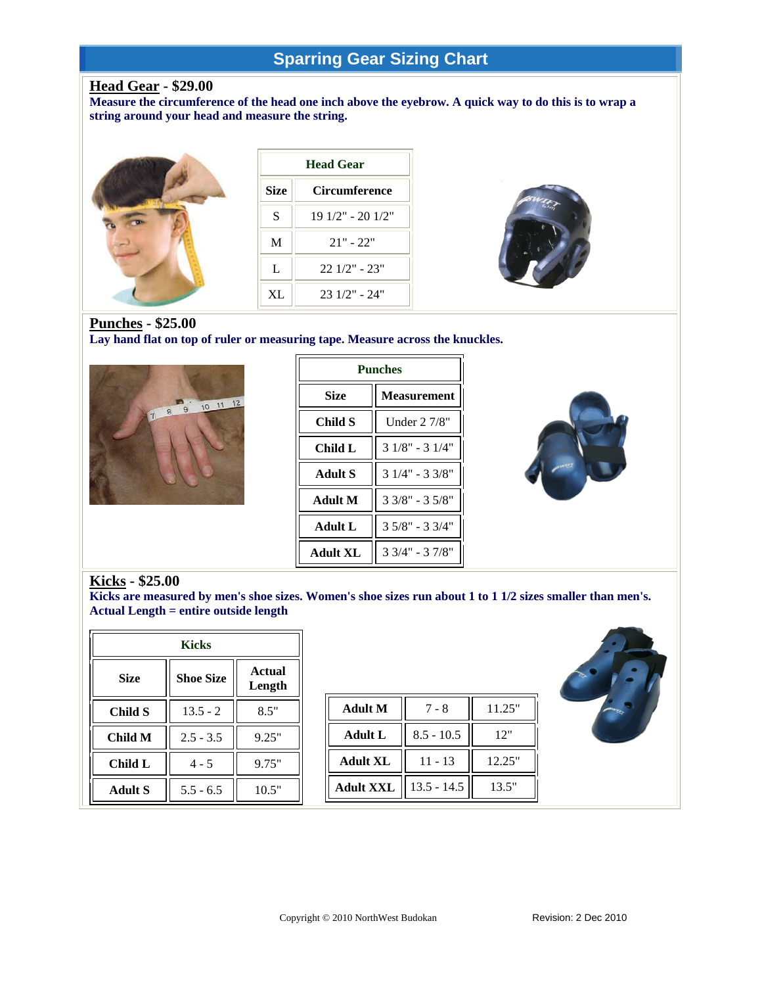# **Sparring Gear Sizing Chart**

## **Head Gear - \$29.00**

**Measure the circumference of the head one inch above the eyebrow. A quick way to do this is to wrap a string around your head and measure the string.**



| <b>Head Gear</b> |                      |  |  |  |
|------------------|----------------------|--|--|--|
| <b>Size</b>      | <b>Circumference</b> |  |  |  |
| S                | 19 1/2" - 20 1/2"    |  |  |  |
| M                | $21" - 22"$          |  |  |  |
| L                | $22.1/2" - 23"$      |  |  |  |
| XL               | $231/2" - 24"$       |  |  |  |



## **Punches - \$25.00**

**Lay hand flat on top of ruler or measuring tape. Measure across the knuckles.**



| <b>Punches</b>  |                    |  |  |  |
|-----------------|--------------------|--|--|--|
| <b>Size</b>     | <b>Measurement</b> |  |  |  |
| Child S         | Under $27/8"$      |  |  |  |
| Child L         | $31/8" - 31/4"$    |  |  |  |
| Adult S         | $31/4" - 33/8"$    |  |  |  |
| Adult M         | $33/8" - 35/8"$    |  |  |  |
| Adult L         | $35/8" - 33/4"$    |  |  |  |
| <b>Adult XL</b> | $33/4" - 37/8"$    |  |  |  |



Kicks - \$25.00<br>Kicks are measured by men's shoe sizes. Women's shoe sizes run about 1 to 1 1/2 sizes smaller than men's. **Actual Length = entire outside length** 

| <b>Kicks</b>   |                  |                         |                  |               |        |
|----------------|------------------|-------------------------|------------------|---------------|--------|
| <b>Size</b>    | <b>Shoe Size</b> | <b>Actual</b><br>Length |                  |               |        |
| Child S        | $13.5 - 2$       | 8.5"                    | <b>Adult M</b>   | $7 - 8$       | 11.25" |
| <b>Child M</b> | $2.5 - 3.5$      | 9.25"                   | <b>Adult L</b>   | $8.5 - 10.5$  | 12"    |
| Child L        | $4 - 5$          | 9.75"                   | <b>Adult XL</b>  | $11 - 13$     | 12.25" |
| <b>Adult S</b> | $5.5 - 6.5$      | 10.5"                   | <b>Adult XXL</b> | $13.5 - 14.5$ | 13.5"  |